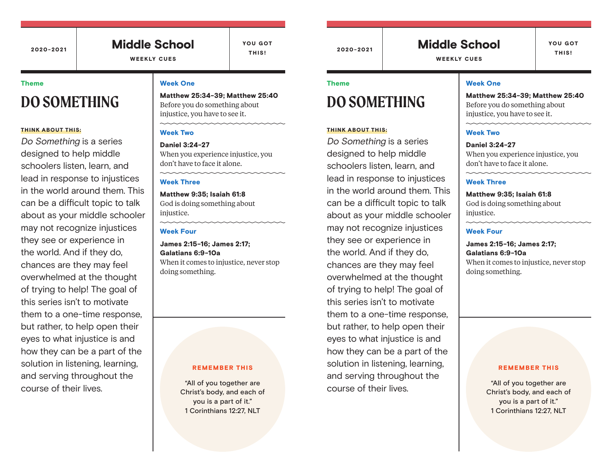#### 2020-2021 2020-2021 Middle School

WEEKLY CUES

YOU GOT THIS!

#### Theme

# **DO SOMETHING**

#### THINK ABOUT THIS:

Do Something is a series designed to help middle schoolers listen, learn, and lead in response to injustices in the world around them. This can be a difficult topic to talk about as your middle schooler may not recognize injustices they see or experience in the world. And if they do, chances are they may feel overwhelmed at the thought of trying to help! The goal of this series isn't to motivate them to a one-time response, but rather, to help open their eyes to what injustice is and how they can be a part of the solution in listening, learning, and serving throughout the course of their lives.

#### Week One

Matthew 25:34-39; Matthew 25:40 Before you do something about injustice, you have to see it.

#### Week Two

Daniel 3:24-27 When you experience injustice, you don't have to face it alone.

#### Week Three

Matthew 9:35; Isaiah 61:8 God is doing something about injustice.

### Week Four

James 2:15-16; James 2:17; Galatians 6:9-10a When it comes to injustice, never stop doing something.

#### REMEMBER THIS

"All of you together are Christ's body, and each of you is a part of it." 1 Corinthians 12:27, NLT